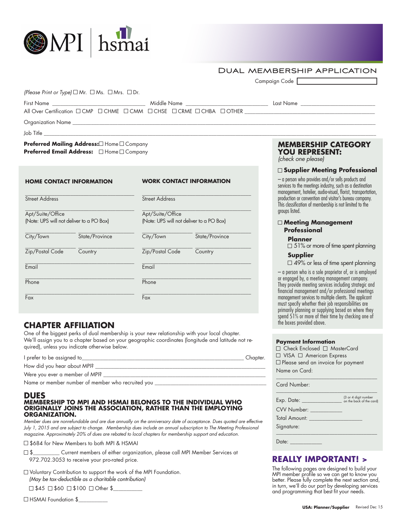## Dual membership application

|                                                                                                                                                                                                                                                                                                                                           |                                                              |                                                                           | Campaign Code                                                                                                                                                                                                              |  |
|-------------------------------------------------------------------------------------------------------------------------------------------------------------------------------------------------------------------------------------------------------------------------------------------------------------------------------------------|--------------------------------------------------------------|---------------------------------------------------------------------------|----------------------------------------------------------------------------------------------------------------------------------------------------------------------------------------------------------------------------|--|
| (Please Print or Type) $\Box$ Mr. $\Box$ Ms. $\Box$ Mrs. $\Box$ Dr.                                                                                                                                                                                                                                                                       |                                                              |                                                                           |                                                                                                                                                                                                                            |  |
|                                                                                                                                                                                                                                                                                                                                           |                                                              |                                                                           |                                                                                                                                                                                                                            |  |
|                                                                                                                                                                                                                                                                                                                                           |                                                              |                                                                           | All Over Certification $\square$ CMP $\square$ CHME $\square$ CMM $\square$ CHSE $\square$ CCHME $\square$ CHBA $\square$ OTHER                                                                                            |  |
|                                                                                                                                                                                                                                                                                                                                           |                                                              |                                                                           |                                                                                                                                                                                                                            |  |
| Job Title <b>Server According to the Contract Only to the Contract Only to the Contract Only to the Contract Only to the Contract Only to the Contract Only to the Contract Only to the Contract Only to the Contract Only to th</b>                                                                                                      |                                                              |                                                                           |                                                                                                                                                                                                                            |  |
| Preferred Mailing Address: Home I Company<br>Preferred Email Address: $\Box$ Home $\Box$ Company                                                                                                                                                                                                                                          |                                                              | <b>MEMBERSHIP CATEGORY</b><br><b>YOU REPRESENT:</b><br>(check one please) |                                                                                                                                                                                                                            |  |
|                                                                                                                                                                                                                                                                                                                                           |                                                              |                                                                           | □ Supplier Meeting Professional                                                                                                                                                                                            |  |
| <b>HOME CONTACT INFORMATION</b>                                                                                                                                                                                                                                                                                                           | <b>WORK CONTACT INFORMATION</b>                              |                                                                           | - a person who provides and/or sells products and<br>services to the meetings industry, such as a destination<br>management, hotelier, audio-visual, florist, transportation,                                              |  |
| <b>Street Address</b>                                                                                                                                                                                                                                                                                                                     | Street Address                                               |                                                                           | production or convention and visitor's bureau company.<br>This classification of membership is not limited to the<br>groups listed.                                                                                        |  |
| Apt/Suite/Office<br>(Note: UPS will not deliver to a PO Box)                                                                                                                                                                                                                                                                              | Apt/Suite/Office<br>(Note: UPS will not deliver to a PO Box) |                                                                           |                                                                                                                                                                                                                            |  |
|                                                                                                                                                                                                                                                                                                                                           |                                                              |                                                                           | □ Meeting Management<br><b>Professional</b>                                                                                                                                                                                |  |
| City/Town State/Province                                                                                                                                                                                                                                                                                                                  | City/Town State/Province                                     |                                                                           | <b>Planner</b><br>$\Box$ 51% or more of time spent planning                                                                                                                                                                |  |
| Zip/Postal Code Country                                                                                                                                                                                                                                                                                                                   | Zip/Postal Code Country                                      |                                                                           | Supplier                                                                                                                                                                                                                   |  |
| Email                                                                                                                                                                                                                                                                                                                                     | $E_{\text{mail}}$                                            |                                                                           | $\Box$ 49% or less of time spent planning                                                                                                                                                                                  |  |
|                                                                                                                                                                                                                                                                                                                                           | Phone                                                        |                                                                           | - a person who is a sole proprietor of, or is employed<br>or engaged by, a meeting management company.                                                                                                                     |  |
| Phone                                                                                                                                                                                                                                                                                                                                     |                                                              |                                                                           | They provide meeting services including strategic and<br>financial management and/or professional meetings                                                                                                                 |  |
| Fax                                                                                                                                                                                                                                                                                                                                       | Fax                                                          |                                                                           | management services to multiple clients. The applicant<br>must specify whether their job responsibilities are<br>primarily planning or supplying based on where they<br>spend 51% or more of their time by checking one of |  |
| <b>CHAPTER AFFILIATION</b>                                                                                                                                                                                                                                                                                                                |                                                              |                                                                           | the boxes provided above.                                                                                                                                                                                                  |  |
| One of the biggest perks of dual membership is your new relationship with your local chapter.<br>We'll assign you to a chapter based on your geographic coordinates (longitude and latitude not re-<br>quired), unless you indicate otherwise below.                                                                                      |                                                              |                                                                           | <b>Payment Information</b><br>□ Check Enclosed □ MasterCard                                                                                                                                                                |  |
|                                                                                                                                                                                                                                                                                                                                           |                                                              |                                                                           | □ VISA □ American Express                                                                                                                                                                                                  |  |
|                                                                                                                                                                                                                                                                                                                                           |                                                              |                                                                           | $\Box$ Please send an invoice for payment                                                                                                                                                                                  |  |
|                                                                                                                                                                                                                                                                                                                                           |                                                              |                                                                           | Name on Card:                                                                                                                                                                                                              |  |
| Name or member number of member who recruited you ______________________________                                                                                                                                                                                                                                                          |                                                              |                                                                           | <b>Card Number:</b>                                                                                                                                                                                                        |  |
| <b>DUES</b>                                                                                                                                                                                                                                                                                                                               |                                                              |                                                                           |                                                                                                                                                                                                                            |  |
| MEMBERSHIP TO MPI AND HSMAI BELONGS TO THE INDIVIDUAL WHO<br>ORIGINALLY JOINS THE ASSOCIATION, RATHER THAN THE EMPLOYING                                                                                                                                                                                                                  |                                                              |                                                                           | <b>CVV Number: CVV Number:</b>                                                                                                                                                                                             |  |
| <b>ORGANIZATION.</b><br>$\mathcal{L}$ and $\mathcal{L}$ and $\mathcal{L}$ and $\mathcal{L}$ and $\mathcal{L}$ and $\mathcal{L}$ and $\mathcal{L}$ and $\mathcal{L}$ and $\mathcal{L}$ and $\mathcal{L}$ and $\mathcal{L}$ and $\mathcal{L}$ and $\mathcal{L}$ and $\mathcal{L}$ and $\mathcal{L}$ and $\mathcal{L}$ and $\mathcal{L}$ and |                                                              |                                                                           | <b>Total Amount:</b>                                                                                                                                                                                                       |  |

*Member dues are nonrefundable and are due annually on the anniversary date of acceptance. Dues quoted are effective July 1, 2015 and are subject to change. Membership dues include an annual subscription to The Meeting Professional magazine. Approximately 20% of dues are rebated to local chapters for membership support and education.*

□ \$684 for New Members to both MPI & HSMAI

**OMPI** hsmai

 \$\_\_\_\_\_\_\_\_\_\_ Current members of either organization, please call MPI Member Services at 972.702.3053 to receive your pro-rated price.

Voluntary Contribution to support the work of the MPI Foundation. *(May be tax-deductible as a charitable contribution)*

 $\Box$  \$45  $\Box$  \$60  $\Box$  \$100  $\Box$  Other \$

HSMAI Foundation \$\_\_\_\_\_\_\_\_\_\_\_

#### **USA: Planner/Supplier** Revised Dec 15

**REALLY IMPORTANT! >** The following pages are designed to build your MPI member profile so we can get to know you better. Please fully complete the next section and, in turn, we'll do our part by developing services and programming that best fit your needs.

\_\_\_\_\_\_\_\_\_\_\_\_\_\_\_\_\_\_\_\_\_\_\_\_\_\_\_\_\_\_\_\_\_\_\_\_\_\_

Signature:

Date: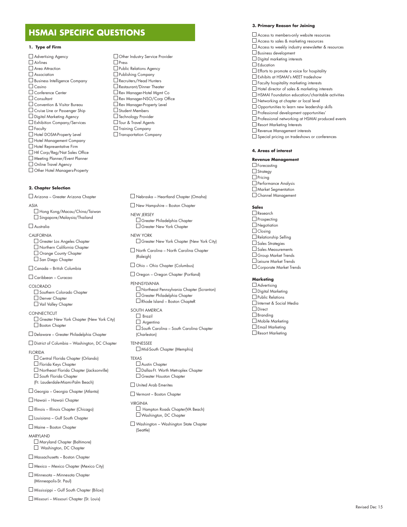# **HSMAI SPECIFIC QUESTIONS**

#### **1. Type of Firm**

 Advertising Agency Airlines Area Attraction Association Business Intelligence Company  $\Box$  Casino Conference Center □ Consultant Convention & Visitor Bureau Cruise Line or Passenger Ship Digital Marketing Agency Exhibition Company/Services  $\Box$  Faculty Hotel DOSM-Property Level Hotel Management Company  $\Box$  Hotel Representative Firm Htl Corp/Reg/Nat Sales Office Meeting Planner/Event Planner Online Travel Agency Other Hotel Managers-Property

#### **2. Chapter Selection**

Arizona – Greater Arizona Chapter

ASIA

 Hong Kong/Macau/China/Taiwan □ Singapore/Malaysia/Thailand

#### $\Box$  Australia

CALIFORNIA Greater Los Angeles Chapter Northern California Chapter Orange County Chapter

 $\square$  San Diego Chapter Canada – British Columbia

Caribbean – Curacao

- COLORADO □ Southern Colorado Chapter Denver Chapter Vail Valley Chapter
- CONNECTICUT Greater New York Chapter (New York City) Boston Chapter

Delaware – Greater Philadelphia Chapter

District of Columbia – Washington, DC Chapter

**FLORIDA** 

 Central Florida Chapter (Orlando) □ Florida Kevs Chapter Northeast Florida Chapter (Jacksonville) □ South Florida Chapter (Ft. Lauderdale-Miami-Palm Beach)

Georgia – Georgia Chapter (Atlanta)

Hawaii – Hawaii Chapter

Illinois – Illinois Chapter (Chicago)

Louisiana – Gulf South Chapter

Maine – Boston Chapter

MARYLAND

 Maryland Chapter (Baltimore) Washington, DC Chapter

Massachusetts – Boston Chapter

Mexico – Mexico Chapter (Mexico City)

 Minnesota – Minnesota Chapter (Minneapolis-St. Paul)

Mississippi – Gulf South Chapter (Biloxi)

Missouri – Missouri Chapter (St. Louis)

□ Other Industry Service Provider □ Press **D** Public Relations Agency Publishing Company Recruiters/Head Hunters Restaurant/Dinner Theater Rev Manager-Hotel Mgmt Co Rev Manager-NSO/Corp Office Rev Manager-Property Level Student Members **Technology Provider**  Tour & Travel Agents  $\Box$  Training Company Transportation Company

Nebraska – Heartland Chapter (Omaha)

 New Hampshire – Boston Chapter NEW JERSEY Greater Philadelphia Chapter Greater New York Chapter

NEW YORK Greater New York Chapter (New York City)

 North Carolina – North Carolina Chapter (Raleigh)

Ohio – Ohio Chapter (Columbus)

Oregon – Oregon Chapter (Portland)

PENNSYLVANIA Northeast Pennsylvania Chapter (Scranton) Greater Philadelphia Chapter Rhode Island – Boston ChapteR

SOUTH AMERICA  $\Box$  Brazil  $\Box$  Argentina South Carolina – South Carolina Chapter (Charleston)

TENNESSEE Mid-South Chapter (Memphis)

TEXAS Austin Chapter

 Dallas-Ft. Worth Metroplex Chapter Greater Houston Chapter

United Arab Emerites

Vermont – Boston Chapter

VIRGINIA Hampton Roads Chapter(VA Beach) Washington, DC Chapter

 Washington – Washington State Chapter (Seattle)

### **3. Primary Reason for Joining**

 Access to members-only website resources Access to sales & marketing resources Access to weekly industry enewsletter & resources  $\square$  Business development Digital marketing interests  $\Box$  Education Efforts to promote a voice for hospitality Exhibits at HSMAI's MEET tradeshow  $\Box$  Faculty hospitality marketing interests Hotel director of sales & marketing interests  $\Box$  HSMAI Foundation education/charitable activities Networking at chapter or local level **Opportunities to learn new leadership skills**  $\square$  Professional development opportunities' Professional networking at HSMAI produced events Resort Marketing Interests Revenue Management interests □ Special pricing on tradeshows or conferences

#### **4. Areas of interest**

**Revenue Management** □ Forecasting  $\Box$  Strategy  $\Box$  Pricing Performance Analysis Market Segmentation Channel Management

**Sales**

□ Research  $\Box$  Prospecting □ Negotiation  $\Box$  Closing Relationship Selling  $\square$  Sales Strategies Sales Measurements Group Market Trends Leisure Market Trends Corporate Market Trends

**Marketing**

 Advertising  $\Box$  Digital Marketing Public Relations Internet & Social Media Direct □ Branding Mobile Marketing **Email Marketing** Resort Marketing